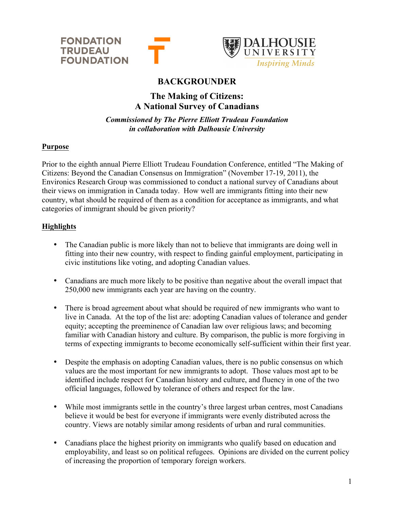



# **BACKGROUNDER**

## **The Making of Citizens: A National Survey of Canadians**

*Commissioned by The Pierre Elliott Trudeau Foundation in collaboration with Dalhousie University*

## **Purpose**

Prior to the eighth annual Pierre Elliott Trudeau Foundation Conference, entitled "The Making of Citizens: Beyond the Canadian Consensus on Immigration" (November 17-19, 2011), the Environics Research Group was commissioned to conduct a national survey of Canadians about their views on immigration in Canada today. How well are immigrants fitting into their new country, what should be required of them as a condition for acceptance as immigrants, and what categories of immigrant should be given priority?

## **Highlights**

- The Canadian public is more likely than not to believe that immigrants are doing well in fitting into their new country, with respect to finding gainful employment, participating in civic institutions like voting, and adopting Canadian values.
- Canadians are much more likely to be positive than negative about the overall impact that 250,000 new immigrants each year are having on the country.
- There is broad agreement about what should be required of new immigrants who want to live in Canada. At the top of the list are: adopting Canadian values of tolerance and gender equity; accepting the preeminence of Canadian law over religious laws; and becoming familiar with Canadian history and culture. By comparison, the public is more forgiving in terms of expecting immigrants to become economically self-sufficient within their first year.
- Despite the emphasis on adopting Canadian values, there is no public consensus on which values are the most important for new immigrants to adopt. Those values most apt to be identified include respect for Canadian history and culture, and fluency in one of the two official languages, followed by tolerance of others and respect for the law.
- While most immigrants settle in the country's three largest urban centres, most Canadians believe it would be best for everyone if immigrants were evenly distributed across the country. Views are notably similar among residents of urban and rural communities.
- Canadians place the highest priority on immigrants who qualify based on education and employability, and least so on political refugees. Opinions are divided on the current policy of increasing the proportion of temporary foreign workers.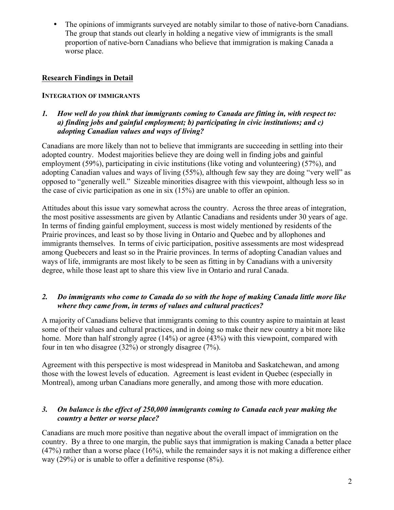• The opinions of immigrants surveyed are notably similar to those of native-born Canadians. The group that stands out clearly in holding a negative view of immigrants is the small proportion of native-born Canadians who believe that immigration is making Canada a worse place.

## **Research Findings in Detail**

#### **INTEGRATION OF IMMIGRANTS**

*1. How well do you think that immigrants coming to Canada are fitting in, with respect to: a) finding jobs and gainful employment; b) participating in civic institutions; and c) adopting Canadian values and ways of living?* 

Canadians are more likely than not to believe that immigrants are succeeding in settling into their adopted country. Modest majorities believe they are doing well in finding jobs and gainful employment (59%), participating in civic institutions (like voting and volunteering) (57%), and adopting Canadian values and ways of living (55%), although few say they are doing "very well" as opposed to "generally well." Sizeable minorities disagree with this viewpoint, although less so in the case of civic participation as one in six (15%) are unable to offer an opinion.

Attitudes about this issue vary somewhat across the country. Across the three areas of integration, the most positive assessments are given by Atlantic Canadians and residents under 30 years of age. In terms of finding gainful employment, success is most widely mentioned by residents of the Prairie provinces, and least so by those living in Ontario and Quebec and by allophones and immigrants themselves. In terms of civic participation, positive assessments are most widespread among Quebecers and least so in the Prairie provinces. In terms of adopting Canadian values and ways of life, immigrants are most likely to be seen as fitting in by Canadians with a university degree, while those least apt to share this view live in Ontario and rural Canada.

## *2. Do immigrants who come to Canada do so with the hope of making Canada little more like where they came from, in terms of values and cultural practices?*

A majority of Canadians believe that immigrants coming to this country aspire to maintain at least some of their values and cultural practices, and in doing so make their new country a bit more like home. More than half strongly agree (14%) or agree (43%) with this viewpoint, compared with four in ten who disagree (32%) or strongly disagree (7%).

Agreement with this perspective is most widespread in Manitoba and Saskatchewan, and among those with the lowest levels of education. Agreement is least evident in Quebec (especially in Montreal), among urban Canadians more generally, and among those with more education.

## *3. On balance is the effect of 250,000 immigrants coming to Canada each year making the country a better or worse place?*

Canadians are much more positive than negative about the overall impact of immigration on the country. By a three to one margin, the public says that immigration is making Canada a better place (47%) rather than a worse place (16%), while the remainder says it is not making a difference either way (29%) or is unable to offer a definitive response (8%).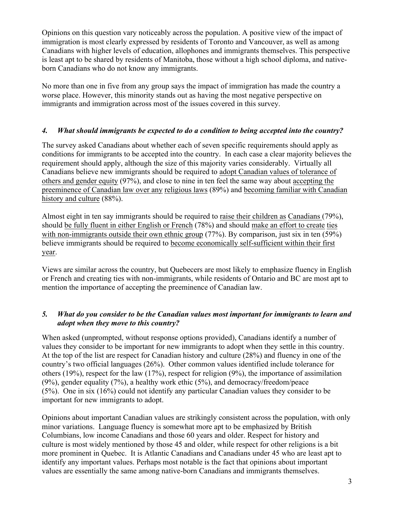Opinions on this question vary noticeably across the population. A positive view of the impact of immigration is most clearly expressed by residents of Toronto and Vancouver, as well as among Canadians with higher levels of education, allophones and immigrants themselves. This perspective is least apt to be shared by residents of Manitoba, those without a high school diploma, and nativeborn Canadians who do not know any immigrants.

No more than one in five from any group says the impact of immigration has made the country a worse place. However, this minority stands out as having the most negative perspective on immigrants and immigration across most of the issues covered in this survey.

## *4. What should immigrants be expected to do a condition to being accepted into the country?*

The survey asked Canadians about whether each of seven specific requirements should apply as conditions for immigrants to be accepted into the country. In each case a clear majority believes the requirement should apply, although the size of this majority varies considerably. Virtually all Canadians believe new immigrants should be required to adopt Canadian values of tolerance of others and gender equity (97%), and close to nine in ten feel the same way about accepting the preeminence of Canadian law over any religious laws (89%) and becoming familiar with Canadian history and culture (88%).

Almost eight in ten say immigrants should be required to raise their children as Canadians (79%), should be fully fluent in either English or French (78%) and should make an effort to create ties with non-immigrants outside their own ethnic group (77%). By comparison, just six in ten (59%) believe immigrants should be required to become economically self-sufficient within their first year.

Views are similar across the country, but Quebecers are most likely to emphasize fluency in English or French and creating ties with non-immigrants, while residents of Ontario and BC are most apt to mention the importance of accepting the preeminence of Canadian law.

## *5. What do you consider to be the Canadian values most important for immigrants to learn and adopt when they move to this country?*

When asked (unprompted, without response options provided), Canadians identify a number of values they consider to be important for new immigrants to adopt when they settle in this country. At the top of the list are respect for Canadian history and culture (28%) and fluency in one of the country's two official languages (26%). Other common values identified include tolerance for others (19%), respect for the law (17%), respect for religion (9%), the importance of assimilation (9%), gender equality (7%), a healthy work ethic (5%), and democracy/freedom/peace (5%). One in six (16%) could not identify any particular Canadian values they consider to be important for new immigrants to adopt.

Opinions about important Canadian values are strikingly consistent across the population, with only minor variations. Language fluency is somewhat more apt to be emphasized by British Columbians, low income Canadians and those 60 years and older. Respect for history and culture is most widely mentioned by those 45 and older, while respect for other religions is a bit more prominent in Quebec. It is Atlantic Canadians and Canadians under 45 who are least apt to identify any important values. Perhaps most notable is the fact that opinions about important values are essentially the same among native-born Canadians and immigrants themselves.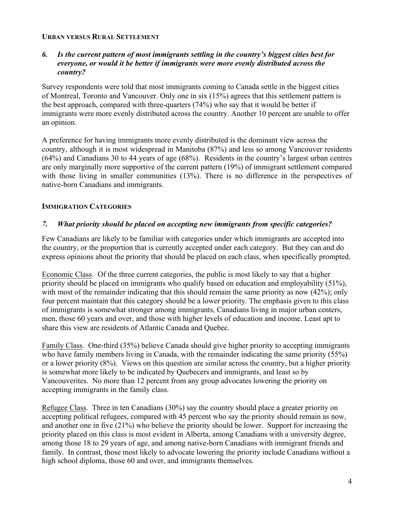#### **URBAN VERSUS RURAL SETTLEMENT**

#### *6. Is the current pattern of most immigrants settling in the country's biggest cities best for everyone, or would it be better if immigrants were more evenly distributed across the country?*

Survey respondents were told that most immigrants coming to Canada settle in the biggest cities of Montreal, Toronto and Vancouver. Only one in six (15%) agrees that this settlement pattern is the best approach, compared with three-quarters (74%) who say that it would be better if immigrants were more evenly distributed across the country. Another 10 percent are unable to offer an opinion.

A preference for having immigrants more evenly distributed is the dominant view across the country, although it is most widespread in Manitoba (87%) and less so among Vancouver residents (64%) and Canadians 30 to 44 years of age (68%). Residents in the country's largest urban centres are only marginally more supportive of the current pattern (19%) of immigrant settlement compared with those living in smaller communities (13%). There is no difference in the perspectives of native-born Canadians and immigrants.

## **IMMIGRATION CATEGORIES**

#### *7. What priority should be placed on accepting new immigrants from specific categories?*

Few Canadians are likely to be familiar with categories under which immigrants are accepted into the country, or the proportion that is currently accepted under each category. But they can and do express opinions about the priority that should be placed on each class, when specifically prompted.

Economic Class. Of the three current categories, the public is most likely to say that a higher priority should be placed on immigrants who qualify based on education and employability (51%), with most of the remainder indicating that this should remain the same priority as now (42%); only four percent maintain that this category should be a lower priority. The emphasis given to this class of immigrants is somewhat stronger among immigrants, Canadians living in major urban centers, men, those 60 years and over, and those with higher levels of education and income. Least apt to share this view are residents of Atlantic Canada and Quebec.

Family Class. One-third (35%) believe Canada should give higher priority to accepting immigrants who have family members living in Canada, with the remainder indicating the same priority (55%) or a lower priority (8%). Views on this question are similar across the country, but a higher priority is somewhat more likely to be indicated by Quebecers and immigrants, and least so by Vancouverites. No more than 12 percent from any group advocates lowering the priority on accepting immigrants in the family class.

Refugee Class. Three in ten Canadians (30%) say the country should place a greater priority on accepting political refugees, compared with 45 percent who say the priority should remain as now, and another one in five (21%) who believe the priority should be lower. Support for increasing the priority placed on this class is most evident in Alberta, among Canadians with a university degree, among those 18 to 29 years of age, and among native-born Canadians with immigrant friends and family. In contrast, those most likely to advocate lowering the priority include Canadians without a high school diploma, those 60 and over, and immigrants themselves.